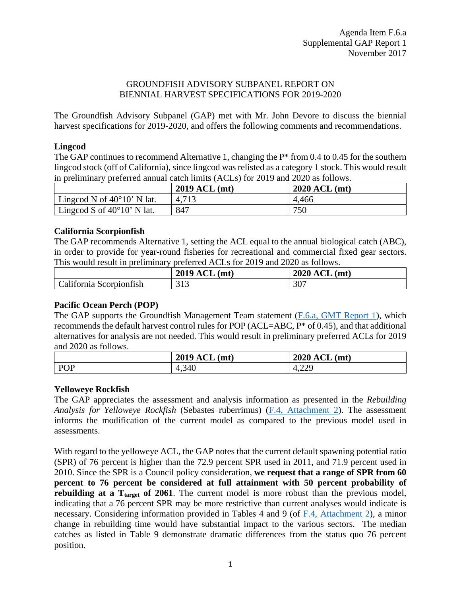#### GROUNDFISH ADVISORY SUBPANEL REPORT ON BIENNIAL HARVEST SPECIFICATIONS FOR 2019-2020

The Groundfish Advisory Subpanel (GAP) met with Mr. John Devore to discuss the biennial harvest specifications for 2019-2020, and offers the following comments and recommendations.

# **Lingcod**

The GAP continues to recommend Alternative 1, changing the  $P^*$  from 0.4 to 0.45 for the southern lingcod stock (off of California), since lingcod was relisted as a category 1 stock. This would result in preliminary preferred annual catch limits (ACLs) for 2019 and 2020 as follows.

|                                     | 2019 ACL (mt) | $2020$ ACL (mt) |
|-------------------------------------|---------------|-----------------|
| Lingcod N of $40^{\circ}10'$ N lat. | 4,713         | 4,466           |
| Lingcod S of $40^{\circ}10'$ N lat. | 847           | 750             |

#### **California Scorpionfish**

The GAP recommends Alternative 1, setting the ACL equal to the annual biological catch (ABC), in order to provide for year-round fisheries for recreational and commercial fixed gear sectors. This would result in preliminary preferred ACLs for 2019 and 2020 as follows.

|                         | $\sim$<br>2019<br>(mt)<br>ACL  | <b>2020 ACL</b><br>(mt) |
|-------------------------|--------------------------------|-------------------------|
| California Scorpionfish | $\bigcap$ 1 $\bigcap$<br>د 1 د | 307                     |

# **Pacific Ocean Perch (POP)**

The GAP supports the Groundfish Management Team statement [\(F.6.a, GMT Report 1\)](http://www.pcouncil.org/wp-content/uploads/2017/10/F6a_GMT_Rpt1_NOV2017BB.pdf), which recommends the default harvest control rules for POP (ACL=ABC, P\* of 0.45), and that additional alternatives for analysis are not needed. This would result in preliminary preferred ACLs for 2019 and 2020 as follows.

|     | ACL<br>2019<br>mt! | $\sim$ $\sim$<br>(mt)<br>2020<br>'ACL |
|-----|--------------------|---------------------------------------|
| POP | 4,340              | ാറ<br>$\overline{4}$<br>т.∠∠          |

# **Yelloweye Rockfish**

The GAP appreciates the assessment and analysis information as presented in the *Rebuilding Analysis for Yelloweye Rockfish* (Sebastes ruberrimus) (F.4, [Attachment 2\)](http://www.pcouncil.org/wp-content/uploads/2017/10/F4_Att2_2017_yelloweye_rebuilding_final_NOV2017BB.pdf). The assessment informs the modification of the current model as compared to the previous model used in assessments.

With regard to the yelloweye ACL, the GAP notes that the current default spawning potential ratio (SPR) of 76 percent is higher than the 72.9 percent SPR used in 2011, and 71.9 percent used in 2010. Since the SPR is a Council policy consideration, **we request that a range of SPR from 60 percent to 76 percent be considered at full attainment with 50 percent probability of rebuilding at a T<sub>target</sub> of 2061**. The current model is more robust than the previous model, indicating that a 76 percent SPR may be more restrictive than current analyses would indicate is necessary. Considering information provided in Tables 4 and 9 (of F.4, [Attachment 2\)](http://www.pcouncil.org/wp-content/uploads/2017/10/F4_Att2_2017_yelloweye_rebuilding_final_NOV2017BB.pdf), a minor change in rebuilding time would have substantial impact to the various sectors. The median catches as listed in Table 9 demonstrate dramatic differences from the status quo 76 percent position.